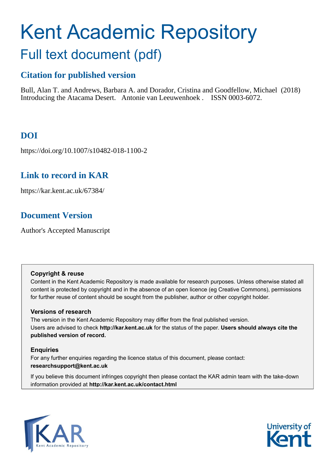# Kent Academic Repository Full text document (pdf)

## **Citation for published version**

Bull, Alan T. and Andrews, Barbara A. and Dorador, Cristina and Goodfellow, Michael (2018) Introducing the Atacama Desert. Antonie van Leeuwenhoek . ISSN 0003-6072.

# **DOI**

https://doi.org/10.1007/s10482-018-1100-2

# **Link to record in KAR**

https://kar.kent.ac.uk/67384/

# **Document Version**

Author's Accepted Manuscript

#### **Copyright & reuse**

Content in the Kent Academic Repository is made available for research purposes. Unless otherwise stated all content is protected by copyright and in the absence of an open licence (eg Creative Commons), permissions for further reuse of content should be sought from the publisher, author or other copyright holder.

#### **Versions of research**

The version in the Kent Academic Repository may differ from the final published version. Users are advised to check **http://kar.kent.ac.uk** for the status of the paper. **Users should always cite the published version of record.**

#### **Enquiries**

For any further enquiries regarding the licence status of this document, please contact: **researchsupport@kent.ac.uk**

If you believe this document infringes copyright then please contact the KAR admin team with the take-down information provided at **http://kar.kent.ac.uk/contact.html**



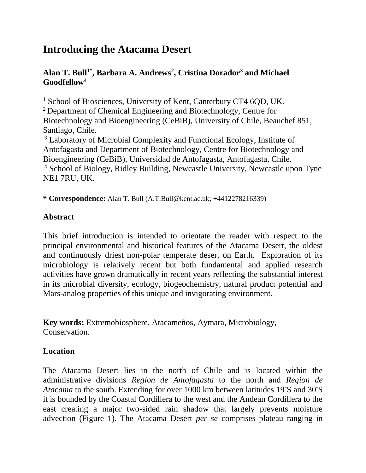# **Introducing the Atacama Desert**

## **Alan T. Bull1\*, Barbara A. Andrews<sup>2</sup> , Cristina Dorador<sup>3</sup> and Michael Goodfellow<sup>4</sup>**

<sup>1</sup> School of Biosciences, University of Kent, Canterbury CT4 6QD, UK. <sup>2</sup> Department of Chemical Engineering and Biotechnology, Centre for Biotechnology and Bioengineering (CeBiB), University of Chile, Beauchef 851, Santiago, Chile.

<sup>3</sup> Laboratory of Microbial Complexity and Functional Ecology, Institute of Antofagasta and Department of Biotechnology, Centre for Biotechnology and Bioengineering (CeBiB), Universidad de Antofagasta, Antofagasta, Chile. <sup>4</sup> School of Biology, Ridley Building, Newcastle University, Newcastle upon Tyne NE1 7RU, UK.

**\* Correspondence:** Alan T. Bull (A.T.Bull@kent.ac.uk; +4412278216339)

## **Abstract**

This brief introduction is intended to orientate the reader with respect to the principal environmental and historical features of the Atacama Desert, the oldest and continuously driest non-polar temperate desert on Earth. Exploration of its microbiology is relatively recent but both fundamental and applied research activities have grown dramatically in recent years reflecting the substantial interest in its microbial diversity, ecology, biogeochemistry, natural product potential and Mars-analog properties of this unique and invigorating environment.

**Key words:** Extremobiosphere, Atacameños, Aymara, Microbiology, Conservation.

## **Location**

The Atacama Desert lies in the north of Chile and is located within the administrative divisions *Region de Antofagasta* to the north and *Region de Atacama* to the south. Extending for over 1000 km between latitudes 19◦S and 30◦S it is bounded by the Coastal Cordillera to the west and the Andean Cordillera to the east creating a major two-sided rain shadow that largely prevents moisture advection (Figure 1). The Atacama Desert *per se* comprises plateau ranging in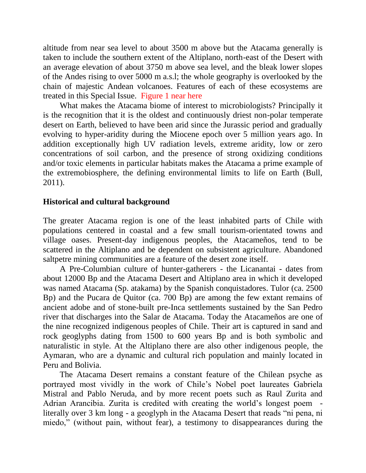altitude from near sea level to about 3500 m above but the Atacama generally is taken to include the southern extent of the Altiplano, north-east of the Desert with an average elevation of about 3750 m above sea level, and the bleak lower slopes of the Andes rising to over 5000 m a.s.l; the whole geography is overlooked by the chain of majestic Andean volcanoes. Features of each of these ecosystems are treated in this Special Issue. Figure 1 near here

 What makes the Atacama biome of interest to microbiologists? Principally it is the recognition that it is the oldest and continuously driest non-polar temperate desert on Earth, believed to have been arid since the Jurassic period and gradually evolving to hyper-aridity during the Miocene epoch over 5 million years ago. In addition exceptionally high UV radiation levels, extreme aridity, low or zero concentrations of soil carbon, and the presence of strong oxidizing conditions and/or toxic elements in particular habitats makes the Atacama a prime example of the extremobiosphere, the defining environmental limits to life on Earth (Bull, 2011).

#### **Historical and cultural background**

The greater Atacama region is one of the least inhabited parts of Chile with populations centered in coastal and a few small tourism-orientated towns and village oases. Present-day indigenous peoples, the Atacameños, tend to be scattered in the Altiplano and be dependent on subsistent agriculture. Abandoned saltpetre mining communities are a feature of the desert zone itself.

 A Pre-Columbian culture of hunter-gatherers - the Licanantai - dates from about 12000 Bp and the Atacama Desert and Altiplano area in which it developed was named Atacama (Sp. atakama) by the Spanish conquistadores. Tulor (ca. 2500 Bp) and the Pucara de Quitor (ca. 700 Bp) are among the few extant remains of ancient adobe and of stone-built pre-Inca settlements sustained by the San Pedro river that discharges into the Salar de Atacama. Today the Atacameños are one of the nine recognized indigenous peoples of Chile. Their art is captured in sand and rock geoglyphs dating from 1500 to 600 years Bp and is both symbolic and naturalistic in style. At the Altiplano there are also other indigenous people, the Aymaran, who are a dynamic and cultural rich population and mainly located in Peru and Bolivia.

 The Atacama Desert remains a constant feature of the Chilean psyche as portrayed most vividly in the work of Chile's Nobel poet laureates Gabriela Mistral and Pablo Neruda, and by more recent poets such as Raul Zurita and Adrian Arancibia. Zurita is credited with creating the world's longest poem literally over 3 km long - a geoglyph in the Atacama Desert that reads "ni pena, ni miedo," (without pain, without fear), a testimony to disappearances during the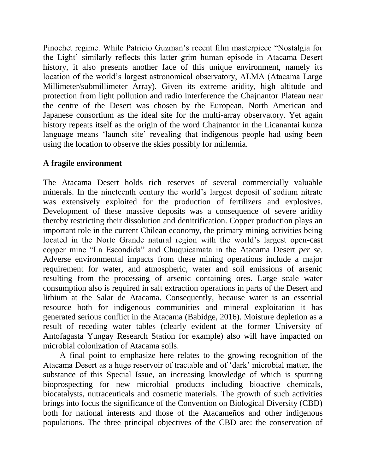Pinochet regime. While Patricio Guzman's recent film masterpiece "Nostalgia for the Light' similarly reflects this latter grim human episode in Atacama Desert history, it also presents another face of this unique environment, namely its location of the world's largest astronomical observatory, ALMA (Atacama Large Millimeter/submillimeter Array). Given its extreme aridity, high altitude and protection from light pollution and radio interference the Chajnantor Plateau near the centre of the Desert was chosen by the European, North American and Japanese consortium as the ideal site for the multi-array observatory. Yet again history repeats itself as the origin of the word Chajnantor in the Licanantai kunza language means 'launch site' revealing that indigenous people had using been using the location to observe the skies possibly for millennia.

#### **A fragile environment**

The Atacama Desert holds rich reserves of several commercially valuable minerals. In the nineteenth century the world's largest deposit of sodium nitrate was extensively exploited for the production of fertilizers and explosives. Development of these massive deposits was a consequence of severe aridity thereby restricting their dissolution and denitrification. Copper production plays an important role in the current Chilean economy, the primary mining activities being located in the Norte Grande natural region with the world's largest open-cast copper mine "La Escondida" and Chuquicamata in the Atacama Desert *per se*. Adverse environmental impacts from these mining operations include a major requirement for water, and atmospheric, water and soil emissions of arsenic resulting from the processing of arsenic containing ores. Large scale water consumption also is required in salt extraction operations in parts of the Desert and lithium at the Salar de Atacama. Consequently, because water is an essential resource both for indigenous communities and mineral exploitation it has generated serious conflict in the Atacama (Babidge, 2016). Moisture depletion as a result of receding water tables (clearly evident at the former University of Antofagasta Yungay Research Station for example) also will have impacted on microbial colonization of Atacama soils.

 A final point to emphasize here relates to the growing recognition of the Atacama Desert as a huge reservoir of tractable and of 'dark' microbial matter, the substance of this Special Issue, an increasing knowledge of which is spurring bioprospecting for new microbial products including bioactive chemicals, biocatalysts, nutraceuticals and cosmetic materials. The growth of such activities brings into focus the significance of the Convention on Biological Diversity (CBD) both for national interests and those of the Atacameños and other indigenous populations. The three principal objectives of the CBD are: the conservation of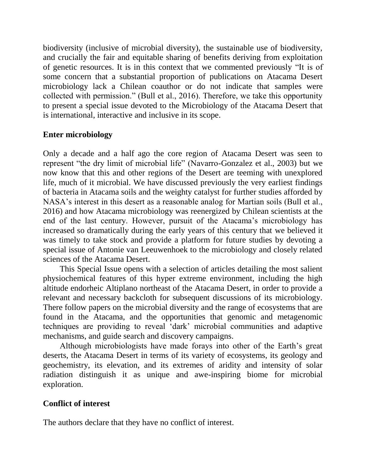biodiversity (inclusive of microbial diversity), the sustainable use of biodiversity, and crucially the fair and equitable sharing of benefits deriving from exploitation of genetic resources. It is in this context that we commented previously "It is of some concern that a substantial proportion of publications on Atacama Desert microbiology lack a Chilean coauthor or do not indicate that samples were collected with permission." (Bull et al., 2016). Therefore, we take this opportunity to present a special issue devoted to the Microbiology of the Atacama Desert that is international, interactive and inclusive in its scope.

#### **Enter microbiology**

Only a decade and a half ago the core region of Atacama Desert was seen to represent "the dry limit of microbial life" (Navarro-Gonzalez et al., 2003) but we now know that this and other regions of the Desert are teeming with unexplored life, much of it microbial. We have discussed previously the very earliest findings of bacteria in Atacama soils and the weighty catalyst for further studies afforded by NASA's interest in this desert as a reasonable analog for Martian soils (Bull et al., 2016) and how Atacama microbiology was reenergized by Chilean scientists at the end of the last century. However, pursuit of the Atacama's microbiology has increased so dramatically during the early years of this century that we believed it was timely to take stock and provide a platform for future studies by devoting a special issue of Antonie van Leeuwenhoek to the microbiology and closely related sciences of the Atacama Desert.

 This Special Issue opens with a selection of articles detailing the most salient physiochemical features of this hyper extreme environment, including the high altitude endorheic Altiplano northeast of the Atacama Desert, in order to provide a relevant and necessary backcloth for subsequent discussions of its microbiology. There follow papers on the microbial diversity and the range of ecosystems that are found in the Atacama, and the opportunities that genomic and metagenomic techniques are providing to reveal 'dark' microbial communities and adaptive mechanisms, and guide search and discovery campaigns.

 Although microbiologists have made forays into other of the Earth's great deserts, the Atacama Desert in terms of its variety of ecosystems, its geology and geochemistry, its elevation, and its extremes of aridity and intensity of solar radiation distinguish it as unique and awe-inspiring biome for microbial exploration.

## **Conflict of interest**

The authors declare that they have no conflict of interest.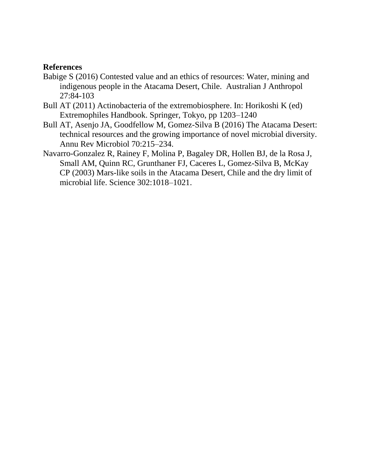#### **References**

- Babige S (2016) Contested value and an ethics of resources: Water, mining and indigenous people in the Atacama Desert, Chile. Australian J Anthropol 27:84-103
- Bull AT (2011) Actinobacteria of the extremobiosphere. In: Horikoshi K (ed) Extremophiles Handbook. Springer, Tokyo, pp 1203–1240
- Bull AT, Asenjo JA, Goodfellow M, Gomez-Silva B (2016) The Atacama Desert: technical resources and the growing importance of novel microbial diversity. Annu Rev Microbiol 70:215–234.
- Navarro-Gonzalez R, Rainey F, Molina P, Bagaley DR, Hollen BJ, de la Rosa J, Small AM, Quinn RC, Grunthaner FJ, Caceres L, Gomez-Silva B, McKay CP (2003) Mars-like soils in the Atacama Desert, Chile and the dry limit of microbial life. Science 302:1018–1021.